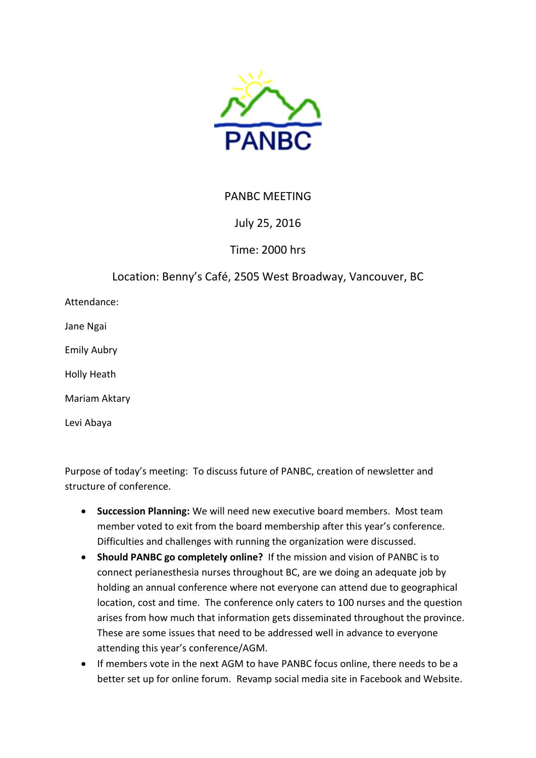

## PANBC MEETING

## July 25, 2016

Time: 2000 hrs

Location: Benny's Café, 2505 West Broadway, Vancouver, BC

Attendance:

Jane Ngai

Emily Aubry

Holly Heath

Mariam Aktary

Levi Abaya

Purpose of today's meeting: To discuss future of PANBC, creation of newsletter and structure of conference.

- **Succession Planning:** We will need new executive board members. Most team member voted to exit from the board membership after this year's conference. Difficulties and challenges with running the organization were discussed.
- **Should PANBC go completely online?** If the mission and vision of PANBC is to connect perianesthesia nurses throughout BC, are we doing an adequate job by holding an annual conference where not everyone can attend due to geographical location, cost and time. The conference only caters to 100 nurses and the question arises from how much that information gets disseminated throughout the province. These are some issues that need to be addressed well in advance to everyone attending this year's conference/AGM.
- If members vote in the next AGM to have PANBC focus online, there needs to be a better set up for online forum. Revamp social media site in Facebook and Website.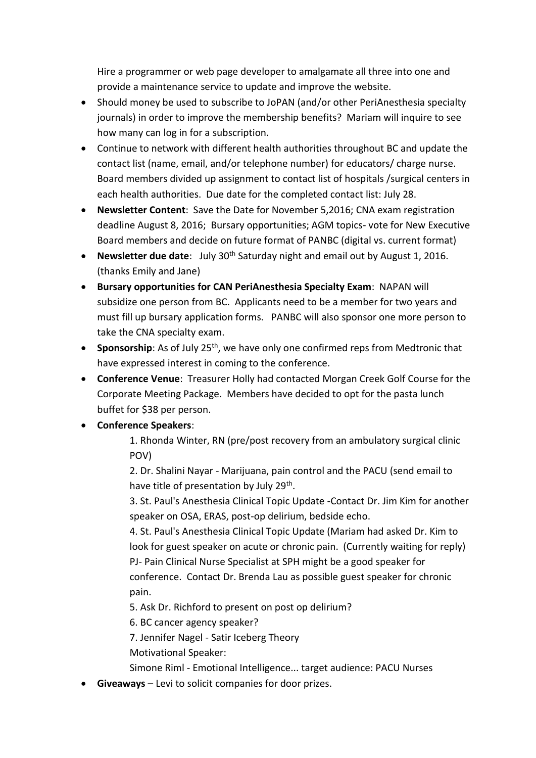Hire a programmer or web page developer to amalgamate all three into one and provide a maintenance service to update and improve the website.

- Should money be used to subscribe to JoPAN (and/or other PeriAnesthesia specialty journals) in order to improve the membership benefits? Mariam will inquire to see how many can log in for a subscription.
- Continue to network with different health authorities throughout BC and update the contact list (name, email, and/or telephone number) for educators/ charge nurse. Board members divided up assignment to contact list of hospitals /surgical centers in each health authorities. Due date for the completed contact list: July 28.
- **Newsletter Content**: Save the Date for November 5,2016; CNA exam registration deadline August 8, 2016; Bursary opportunities; AGM topics- vote for New Executive Board members and decide on future format of PANBC (digital vs. current format)
- **Newsletter due date**: July 30<sup>th</sup> Saturday night and email out by August 1, 2016. (thanks Emily and Jane)
- **Bursary opportunities for CAN PeriAnesthesia Specialty Exam**: NAPAN will subsidize one person from BC. Applicants need to be a member for two years and must fill up bursary application forms. PANBC will also sponsor one more person to take the CNA specialty exam.
- **Sponsorship**: As of July 25<sup>th</sup>, we have only one confirmed reps from Medtronic that have expressed interest in coming to the conference.
- **Conference Venue**: Treasurer Holly had contacted Morgan Creek Golf Course for the Corporate Meeting Package. Members have decided to opt for the pasta lunch buffet for \$38 per person.
- **Conference Speakers**:
	- 1. Rhonda Winter, RN (pre/post recovery from an ambulatory surgical clinic POV)

2. Dr. Shalini Nayar - Marijuana, pain control and the PACU (send email to have title of presentation by July 29<sup>th</sup>.

3. St. Paul's Anesthesia Clinical Topic Update -Contact Dr. Jim Kim for another speaker on OSA, ERAS, post-op delirium, bedside echo.

4. St. Paul's Anesthesia Clinical Topic Update (Mariam had asked Dr. Kim to look for guest speaker on acute or chronic pain. (Currently waiting for reply) PJ- Pain Clinical Nurse Specialist at SPH might be a good speaker for conference. Contact Dr. Brenda Lau as possible guest speaker for chronic pain.

5. Ask Dr. Richford to present on post op delirium?

6. BC cancer agency speaker?

7. Jennifer Nagel - Satir Iceberg Theory

- Motivational Speaker:
- Simone Riml Emotional Intelligence... target audience: PACU Nurses
- **Giveaways** Levi to solicit companies for door prizes.